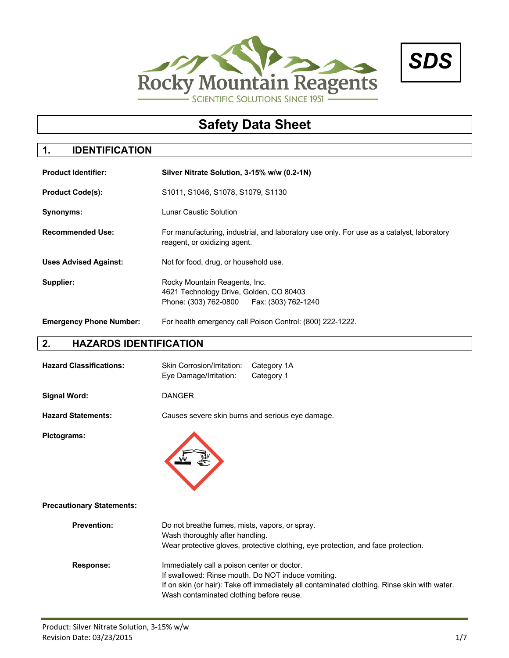



# **Safety Data Sheet**

# **1. IDENTIFICATION**

| <b>Product Identifier:</b>     | Silver Nitrate Solution, 3-15% w/w (0.2-1N)                                                                               |  |  |  |
|--------------------------------|---------------------------------------------------------------------------------------------------------------------------|--|--|--|
| <b>Product Code(s):</b>        | S1011, S1046, S1078, S1079, S1130                                                                                         |  |  |  |
| Synonyms:                      | Lunar Caustic Solution                                                                                                    |  |  |  |
| <b>Recommended Use:</b>        | For manufacturing, industrial, and laboratory use only. For use as a catalyst, laboratory<br>reagent, or oxidizing agent. |  |  |  |
| <b>Uses Advised Against:</b>   | Not for food, drug, or household use.                                                                                     |  |  |  |
| Supplier:                      | Rocky Mountain Reagents, Inc.<br>4621 Technology Drive, Golden, CO 80403<br>Phone: (303) 762-0800   Fax: (303) 762-1240   |  |  |  |
| <b>Emergency Phone Number:</b> | For health emergency call Poison Control: (800) 222-1222.                                                                 |  |  |  |

## **2. HAZARDS IDENTIFICATION**

| <b>Hazard Classifications:</b>   | <b>Skin Corrosion/Irritation:</b><br>Eye Damage/Irritation:                             | Category 1A<br>Category 1                                                                                                                          |
|----------------------------------|-----------------------------------------------------------------------------------------|----------------------------------------------------------------------------------------------------------------------------------------------------|
| <b>Signal Word:</b>              | <b>DANGER</b>                                                                           |                                                                                                                                                    |
| <b>Hazard Statements:</b>        | Causes severe skin burns and serious eye damage.                                        |                                                                                                                                                    |
| Pictograms:                      |                                                                                         |                                                                                                                                                    |
| <b>Precautionary Statements:</b> |                                                                                         |                                                                                                                                                    |
| <b>Prevention:</b>               | Do not breathe fumes, mists, vapors, or spray.<br>Wash thoroughly after handling.       | Wear protective gloves, protective clothing, eye protection, and face protection.                                                                  |
| <b>Response:</b>                 | Immediately call a poison center or doctor.<br>Wash contaminated clothing before reuse. | If swallowed: Rinse mouth. Do NOT induce vomiting.<br>If on skin (or hair): Take off immediately all contaminated clothing. Rinse skin with water. |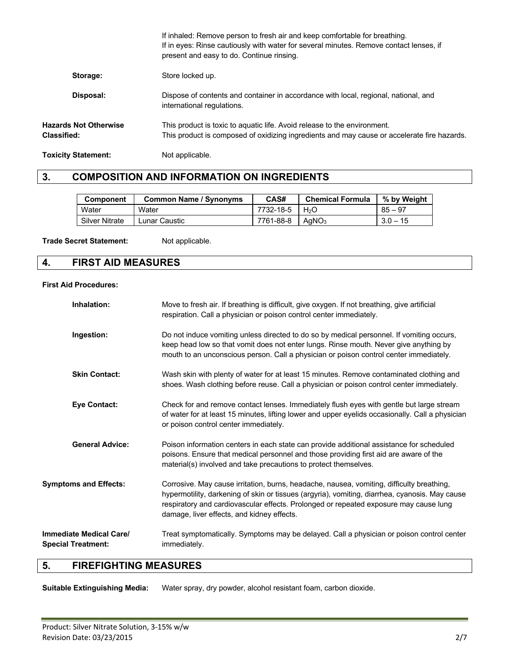|                                      | If inhaled: Remove person to fresh air and keep comfortable for breathing.<br>If in eyes: Rinse cautiously with water for several minutes. Remove contact lenses, if<br>present and easy to do. Continue rinsing. |
|--------------------------------------|-------------------------------------------------------------------------------------------------------------------------------------------------------------------------------------------------------------------|
| Storage:                             | Store locked up.                                                                                                                                                                                                  |
| Disposal:                            | Dispose of contents and container in accordance with local, regional, national, and<br>international regulations.                                                                                                 |
| Hazards Not Otherwise<br>Classified: | This product is toxic to aquatic life. Avoid release to the environment.<br>This product is composed of oxidizing ingredients and may cause or accelerate fire hazards.                                           |
| <b>Toxicity Statement:</b>           | Not applicable.                                                                                                                                                                                                   |

### **3. COMPOSITION AND INFORMATION ON INGREDIENTS**

| <b>Component</b>      | <b>Common Name / Synonyms</b> | CAS#      | <b>Chemical Formula</b> | % by Weight |
|-----------------------|-------------------------------|-----------|-------------------------|-------------|
| Water                 | Water                         | 7732-18-5 | H <sub>2</sub> O        | $85 - 97$   |
| <b>Silver Nitrate</b> | <sub>-</sub> unar Caustic     | 7761-88-8 | AaNO <sub>3</sub>       | $3.0 - 15$  |

Trade Secret Statement: Not applicable.

#### **4. FIRST AID MEASURES**

#### **First Aid Procedures:**

| Inhalation:                                          | Move to fresh air. If breathing is difficult, give oxygen. If not breathing, give artificial<br>respiration. Call a physician or poison control center immediately.                                                                                                                                                                |
|------------------------------------------------------|------------------------------------------------------------------------------------------------------------------------------------------------------------------------------------------------------------------------------------------------------------------------------------------------------------------------------------|
| Ingestion:                                           | Do not induce vomiting unless directed to do so by medical personnel. If vomiting occurs,<br>keep head low so that vomit does not enter lungs. Rinse mouth. Never give anything by<br>mouth to an unconscious person. Call a physician or poison control center immediately.                                                       |
| <b>Skin Contact:</b>                                 | Wash skin with plenty of water for at least 15 minutes. Remove contaminated clothing and<br>shoes. Wash clothing before reuse. Call a physician or poison control center immediately.                                                                                                                                              |
| <b>Eye Contact:</b>                                  | Check for and remove contact lenses. Immediately flush eyes with gentle but large stream<br>of water for at least 15 minutes, lifting lower and upper eyelids occasionally. Call a physician<br>or poison control center immediately.                                                                                              |
| <b>General Advice:</b>                               | Poison information centers in each state can provide additional assistance for scheduled<br>poisons. Ensure that medical personnel and those providing first aid are aware of the<br>material(s) involved and take precautions to protect themselves.                                                                              |
| <b>Symptoms and Effects:</b>                         | Corrosive. May cause irritation, burns, headache, nausea, vomiting, difficulty breathing,<br>hypermotility, darkening of skin or tissues (argyria), vomiting, diarrhea, cyanosis. May cause<br>respiratory and cardiovascular effects. Prolonged or repeated exposure may cause lung<br>damage, liver effects, and kidney effects. |
| Immediate Medical Care/<br><b>Special Treatment:</b> | Treat symptomatically. Symptoms may be delayed. Call a physician or poison control center<br>immediately.                                                                                                                                                                                                                          |
|                                                      |                                                                                                                                                                                                                                                                                                                                    |

### **5. FIREFIGHTING MEASURES**

**Suitable Extinguishing Media:** Water spray, dry powder, alcohol resistant foam, carbon dioxide.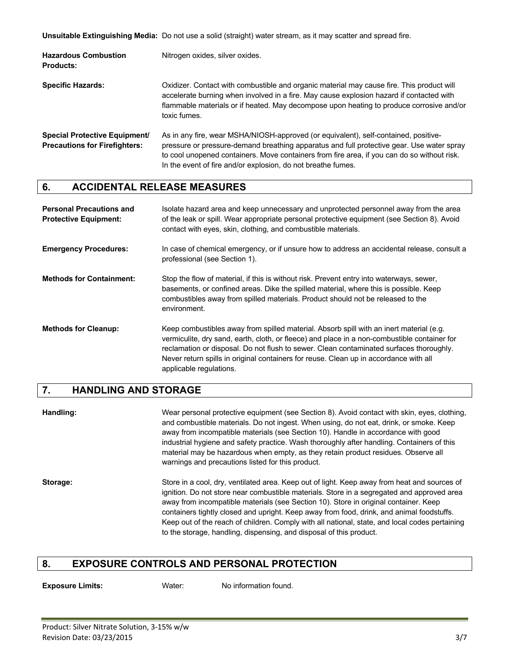**Unsuitable Extinguishing Media:** Do not use a solid (straight) water stream, as it may scatter and spread fire.

| <b>Hazardous Combustion</b><br><b>Products:</b>                              | Nitrogen oxides, silver oxides.                                                                                                                                                                                                                                                                                                                 |
|------------------------------------------------------------------------------|-------------------------------------------------------------------------------------------------------------------------------------------------------------------------------------------------------------------------------------------------------------------------------------------------------------------------------------------------|
| <b>Specific Hazards:</b>                                                     | Oxidizer. Contact with combustible and organic material may cause fire. This product will<br>accelerate burning when involved in a fire. May cause explosion hazard if contacted with<br>flammable materials or if heated. May decompose upon heating to produce corrosive and/or<br>toxic fumes.                                               |
| <b>Special Protective Equipment/</b><br><b>Precautions for Firefighters:</b> | As in any fire, wear MSHA/NIOSH-approved (or equivalent), self-contained, positive-<br>pressure or pressure-demand breathing apparatus and full protective gear. Use water spray<br>to cool unopened containers. Move containers from fire area, if you can do so without risk.<br>In the event of fire and/or explosion, do not breathe fumes. |

#### **6. ACCIDENTAL RELEASE MEASURES**

| <b>Personal Precautions and</b><br><b>Protective Equipment:</b> | Isolate hazard area and keep unnecessary and unprotected personnel away from the area<br>of the leak or spill. Wear appropriate personal protective equipment (see Section 8). Avoid<br>contact with eyes, skin, clothing, and combustible materials.                                                                                                                                                  |
|-----------------------------------------------------------------|--------------------------------------------------------------------------------------------------------------------------------------------------------------------------------------------------------------------------------------------------------------------------------------------------------------------------------------------------------------------------------------------------------|
| <b>Emergency Procedures:</b>                                    | In case of chemical emergency, or if unsure how to address an accidental release, consult a<br>professional (see Section 1).                                                                                                                                                                                                                                                                           |
| <b>Methods for Containment:</b>                                 | Stop the flow of material, if this is without risk. Prevent entry into waterways, sewer,<br>basements, or confined areas. Dike the spilled material, where this is possible. Keep<br>combustibles away from spilled materials. Product should not be released to the<br>environment.                                                                                                                   |
| <b>Methods for Cleanup:</b>                                     | Keep combustibles away from spilled material. Absorb spill with an inert material (e.g.<br>vermiculite, dry sand, earth, cloth, or fleece) and place in a non-combustible container for<br>reclamation or disposal. Do not flush to sewer. Clean contaminated surfaces thoroughly.<br>Never return spills in original containers for reuse. Clean up in accordance with all<br>applicable regulations. |

#### **7. HANDLING AND STORAGE**

**Handling:** Wear personal protective equipment (see Section 8). Avoid contact with skin, eyes, clothing, and combustible materials. Do not ingest. When using, do not eat, drink, or smoke. Keep away from incompatible materials (see Section 10). Handle in accordance with good industrial hygiene and safety practice. Wash thoroughly after handling. Containers of this material may be hazardous when empty, as they retain product residues. Observe all warnings and precautions listed for this product. **Storage:** Store in a cool, dry, ventilated area. Keep out of light. Keep away from heat and sources of

ignition. Do not store near combustible materials. Store in a segregated and approved area away from incompatible materials (see Section 10). Store in original container. Keep containers tightly closed and upright. Keep away from food, drink, and animal foodstuffs. Keep out of the reach of children. Comply with all national, state, and local codes pertaining to the storage, handling, dispensing, and disposal of this product.

#### **8. EXPOSURE CONTROLS AND PERSONAL PROTECTION**

**Exposure Limits:** Water: No information found.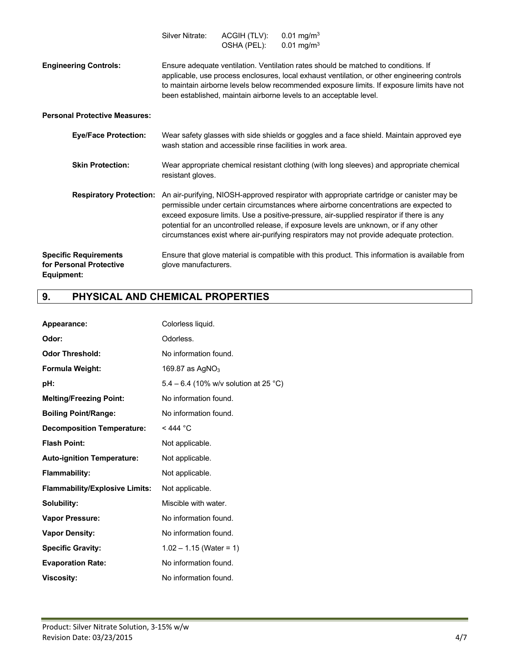|                                                                       | Silver Nitrate:                                                                                                                                                                                                                                                                                                                                        | ACGIH (TLV):<br>OSHA (PEL): | $0.01$ mg/m <sup>3</sup><br>$0.01$ mg/m <sup>3</sup>                                                                                                                                                                                                                                                                                                                                                                                                                                         |  |  |
|-----------------------------------------------------------------------|--------------------------------------------------------------------------------------------------------------------------------------------------------------------------------------------------------------------------------------------------------------------------------------------------------------------------------------------------------|-----------------------------|----------------------------------------------------------------------------------------------------------------------------------------------------------------------------------------------------------------------------------------------------------------------------------------------------------------------------------------------------------------------------------------------------------------------------------------------------------------------------------------------|--|--|
| <b>Engineering Controls:</b>                                          | Ensure adequate ventilation. Ventilation rates should be matched to conditions. If<br>applicable, use process enclosures, local exhaust ventilation, or other engineering controls<br>to maintain airborne levels below recommended exposure limits. If exposure limits have not<br>been established, maintain airborne levels to an acceptable level. |                             |                                                                                                                                                                                                                                                                                                                                                                                                                                                                                              |  |  |
| <b>Personal Protective Measures:</b>                                  |                                                                                                                                                                                                                                                                                                                                                        |                             |                                                                                                                                                                                                                                                                                                                                                                                                                                                                                              |  |  |
| <b>Eye/Face Protection:</b>                                           | Wear safety glasses with side shields or goggles and a face shield. Maintain approved eye<br>wash station and accessible rinse facilities in work area.                                                                                                                                                                                                |                             |                                                                                                                                                                                                                                                                                                                                                                                                                                                                                              |  |  |
| <b>Skin Protection:</b>                                               | Wear appropriate chemical resistant clothing (with long sleeves) and appropriate chemical<br>resistant gloves.                                                                                                                                                                                                                                         |                             |                                                                                                                                                                                                                                                                                                                                                                                                                                                                                              |  |  |
|                                                                       |                                                                                                                                                                                                                                                                                                                                                        |                             | Respiratory Protection: An air-purifying, NIOSH-approved respirator with appropriate cartridge or canister may be<br>permissible under certain circumstances where airborne concentrations are expected to<br>exceed exposure limits. Use a positive-pressure, air-supplied respirator if there is any<br>potential for an uncontrolled release, if exposure levels are unknown, or if any other<br>circumstances exist where air-purifying respirators may not provide adequate protection. |  |  |
| <b>Specific Requirements</b><br>for Personal Protective<br>Equipment: | glove manufacturers.                                                                                                                                                                                                                                                                                                                                   |                             | Ensure that glove material is compatible with this product. This information is available from                                                                                                                                                                                                                                                                                                                                                                                               |  |  |

# **9. PHYSICAL AND CHEMICAL PROPERTIES**

| Appearance:                           | Colorless liquid.                     |
|---------------------------------------|---------------------------------------|
| Odor:                                 | Odorless.                             |
| <b>Odor Threshold:</b>                | No information found.                 |
| Formula Weight:                       | 169.87 as $AgNO3$                     |
| pH:                                   | 5.4 – 6.4 (10% w/v solution at 25 °C) |
| <b>Melting/Freezing Point:</b>        | No information found.                 |
| <b>Boiling Point/Range:</b>           | No information found.                 |
| <b>Decomposition Temperature:</b>     | $<$ 444 °C                            |
| <b>Flash Point:</b>                   | Not applicable.                       |
| <b>Auto-ignition Temperature:</b>     | Not applicable.                       |
| Flammability:                         | Not applicable.                       |
| <b>Flammability/Explosive Limits:</b> | Not applicable.                       |
| Solubility:                           | Miscible with water.                  |
| <b>Vapor Pressure:</b>                | No information found.                 |
| <b>Vapor Density:</b>                 | No information found.                 |
| <b>Specific Gravity:</b>              | $1.02 - 1.15$ (Water = 1)             |
| <b>Evaporation Rate:</b>              | No information found.                 |
| <b>Viscosity:</b>                     | No information found.                 |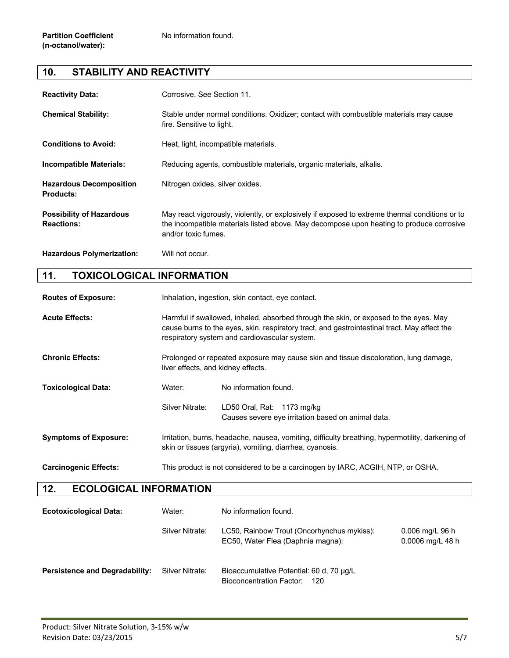# **10. STABILITY AND REACTIVITY**

| <b>Reactivity Data:</b>                              | Corrosive. See Section 11.                                                                                                                                                                                        |
|------------------------------------------------------|-------------------------------------------------------------------------------------------------------------------------------------------------------------------------------------------------------------------|
| <b>Chemical Stability:</b>                           | Stable under normal conditions. Oxidizer; contact with combustible materials may cause<br>fire. Sensitive to light.                                                                                               |
| <b>Conditions to Avoid:</b>                          | Heat, light, incompatible materials.                                                                                                                                                                              |
| <b>Incompatible Materials:</b>                       | Reducing agents, combustible materials, organic materials, alkalis.                                                                                                                                               |
| <b>Hazardous Decomposition</b><br><b>Products:</b>   | Nitrogen oxides, silver oxides.                                                                                                                                                                                   |
| <b>Possibility of Hazardous</b><br><b>Reactions:</b> | May react vigorously, violently, or explosively if exposed to extreme thermal conditions or to<br>the incompatible materials listed above. May decompose upon heating to produce corrosive<br>and/or toxic fumes. |
| <b>Hazardous Polymerization:</b>                     | Will not occur.                                                                                                                                                                                                   |

#### **11. TOXICOLOGICAL INFORMATION**

**Routes of Exposure:** Inhalation, ingestion, skin contact, eye contact.

| <b>Acute Effects:</b>        | Harmful if swallowed, inhaled, absorbed through the skin, or exposed to the eyes. May<br>cause burns to the eyes, skin, respiratory tract, and gastrointestinal tract. May affect the<br>respiratory system and cardiovascular system. |                                                                                  |  |
|------------------------------|----------------------------------------------------------------------------------------------------------------------------------------------------------------------------------------------------------------------------------------|----------------------------------------------------------------------------------|--|
| <b>Chronic Effects:</b>      | Prolonged or repeated exposure may cause skin and tissue discoloration, lung damage,<br>liver effects, and kidney effects.                                                                                                             |                                                                                  |  |
| <b>Toxicological Data:</b>   | Water:                                                                                                                                                                                                                                 | No information found.                                                            |  |
|                              | Silver Nitrate:                                                                                                                                                                                                                        | LD50 Oral, Rat: 1173 mg/kg<br>Causes severe eye irritation based on animal data. |  |
| <b>Symptoms of Exposure:</b> | Irritation, burns, headache, nausea, vomiting, difficulty breathing, hypermotility, darkening of<br>skin or tissues (argyria), vomiting, diarrhea, cyanosis.                                                                           |                                                                                  |  |
| <b>Carcinogenic Effects:</b> | This product is not considered to be a carcinogen by IARC, ACGIH, NTP, or OSHA.                                                                                                                                                        |                                                                                  |  |

#### **12. ECOLOGICAL INFORMATION**

| <b>Ecotoxicological Data:</b>         | Water:          | No information found.                                                           |                                       |
|---------------------------------------|-----------------|---------------------------------------------------------------------------------|---------------------------------------|
|                                       | Silver Nitrate: | LC50, Rainbow Trout (Oncorhynchus mykiss):<br>EC50, Water Flea (Daphnia magna): | $0.006$ mg/L 96 h<br>0.0006 mg/L 48 h |
| <b>Persistence and Degradability:</b> | Silver Nitrate: | Bioaccumulative Potential: 60 d, 70 µg/L<br>Bioconcentration Factor:<br>120     |                                       |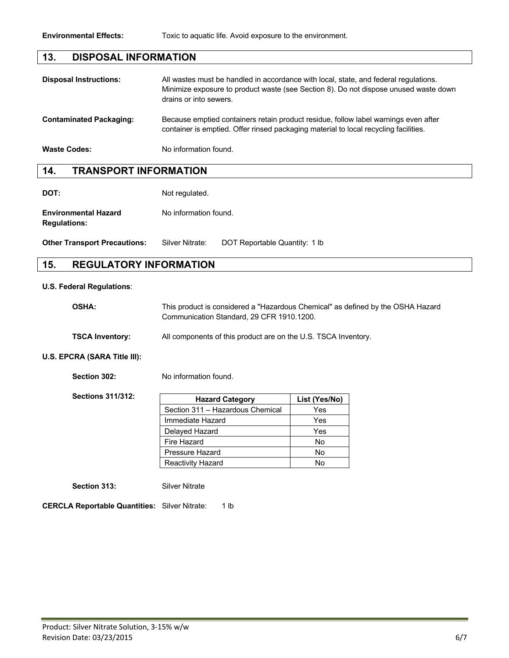#### **13. DISPOSAL INFORMATION**

| <b>Disposal Instructions:</b>  | All wastes must be handled in accordance with local, state, and federal regulations.<br>Minimize exposure to product waste (see Section 8). Do not dispose unused waste down<br>drains or into sewers. |
|--------------------------------|--------------------------------------------------------------------------------------------------------------------------------------------------------------------------------------------------------|
| <b>Contaminated Packaging:</b> | Because emptied containers retain product residue, follow label warnings even after<br>container is emptied. Offer rinsed packaging material to local recycling facilities.                            |
| <b>Waste Codes:</b>            | No information found.                                                                                                                                                                                  |

#### **14. TRANSPORT INFORMATION**

**DOT:** Not regulated.

**Environmental Hazard** No information found. **Regulations:**

**Other Transport Precautions:** Silver Nitrate: DOT Reportable Quantity: 1 lb

#### **15. REGULATORY INFORMATION**

#### **U.S. Federal Regulations**:

| <b>OSHA:</b>           | This product is considered a "Hazardous Chemical" as defined by the OSHA Hazard<br>Communication Standard, 29 CFR 1910.1200. |
|------------------------|------------------------------------------------------------------------------------------------------------------------------|
| <b>TSCA Inventory:</b> | All components of this product are on the U.S. TSCA Inventory.                                                               |

#### **U.S. EPCRA (SARA Title III):**

**Section 302:** No information found.

| Sections 311/312: | <b>Hazard Category</b>           | List (Yes/No) |
|-------------------|----------------------------------|---------------|
|                   | Section 311 - Hazardous Chemical | Yes           |
|                   | Immediate Hazard                 | Yes           |
|                   | Delayed Hazard                   | Yes           |
|                   | Fire Hazard                      | No            |
|                   | <b>Pressure Hazard</b>           | No            |
|                   | <b>Reactivity Hazard</b>         | No            |

**Section 313:** Silver Nitrate

**CERCLA Reportable Quantities:** Silver Nitrate: 1 lb